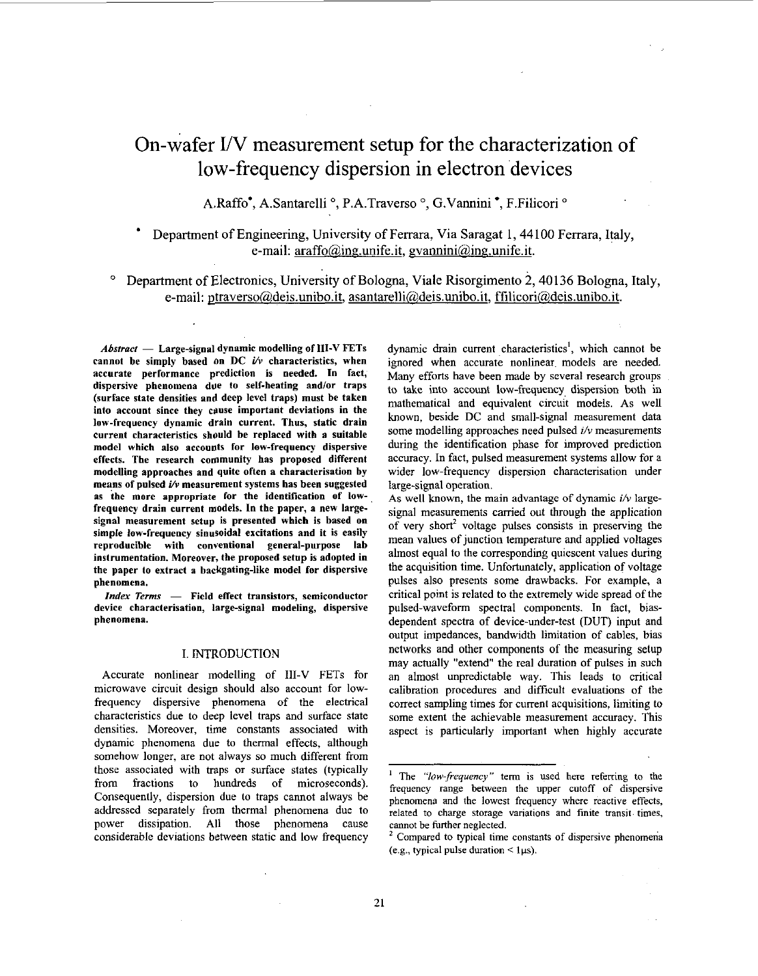# On-wafer I/V measurement setup for the characterization of low-frequency dispersion in electron devices

A.Raffo<sup>\*</sup>, A.Santarelli<sup>o</sup>, P.A.Traverso<sup>o</sup>, G.Vannini<sup>\*</sup>, F.Filicori<sup>o</sup>

# Department of Engineering, University of Ferrara, Via Saragat 1,44100 Ferrara, Italy, e-mail:  $araff_0(\omega)$ ing.unife.it, gvannini $(\omega)$ ing.unife.it.

Department of Electronics, University of Bologna, Viale Risorgimento 2,40136 Bologna, Italy,  $\circ$ e-mail: ptraverso(@deis.unibo.it, asantarelli@deis.unibo.it, ffilicori@deis.unibo.it.

*Abstract* - Large-signal dynamic modelling of **111-V** FETs cannot he simply based on DC *i/v* characteristics, when accurate performance prediction is needed. In fact, dispersive phenomena due to self-heating and/or traps (surface state densities and deep level traps) must be taken into account since they cause important deviations in the low-frequency dynamic drain current. Thus, static drain current characteristics should he replaced with a suitable model which also accounts for low-frequency dispersive effects. The research community has proposed different modelling approaches and quite often a characterisation by means of pulsed *i/v* measurement systems has been suggested **as** the more appropriate for the identification **of** lowfrequency drain current models. In the paper, a new largesignal measurement setup is presented which is based on simple low-frequency sinusoidal excitations and it is easily reproducible with conventional general-purpose lab instrumentation. Moreover, the proposed setup is adopted in the paper to extract a hackgating-like model for dispersive phenomena.

Index Terms - Field effect transistors, semiconductor device characterisation, large-signal modeling, dispersive phenomena.

# I. INTRODUCTION

Accurate nonlinear modelling of **111-V** FETs for microwave circuit design should also account for lowfrequency dispersive phenomena of the electrical characteristics due to deep level traps and surface state densities. Moreover, time constants associated with dynamic phenomena due to thermal effects, although somehow longer, are not always *so* much different from those associated with traps or surface states (typically from fractions to hundreds of microseconds). Consequently, dispersion due to traps cannot always be addressed separately from thermal phenomena due to power dissipation. All those phenomena cause considerable deviations between static and low frequency dynamic drain current characteristics', which cannot be ignored when accurate nonlinear models are needed. Many efforts have been made by several research groups to take into account low-frequency, dispersion both in mathematical and equivalent circuit models. As well known, beside DC and small-signal measurement data some modelling approaches need pulsed *i/v* measurements during the identification phase for improved prediction accuracy. In fact, pulsed measurement systems allow for a wider low-frequency dispersion characterisation under large-signal operation.

**As** well known, the main advantage of dynamic *i/v* largesignal measurements carried out through the application of very short<sup>2</sup> voltage pulses consists in preserving the mean values of junction temperature and applied voltages almost equal to the corresponding quiescent values during the acquisition time. Unfortunately, application *of* voltage pulses also presents some drawbacks. For example, a critical point is related to the extremely wide spread of the pulsed-waveform spectral components. In fact, biasdependent spectra of device-under-test (DUT) input and output impedances, bandwidth limitation of cables, bias networks and other components of the measuring setup may actually "extend" the real duration of pulses in such an almost unpredictable way. This leads to critical calibration procedures and difficult evaluations of the correct sampling times for current acquisitions, limiting to some extent the achievable measurement accuracy. This aspect is particularly important when highly accurate

<sup>&</sup>lt;sup>1</sup> The "low-frequency" term is used here referring to the frequency range between the upper cutoff of dispersive phenomena and the lowest frequency where reactive effects, related to charge storage variations and finite transit. times,

cannot be further neglected. ' Compared to typical time constants of dispersive phenomena (e.g., typical pulse duration  $\leq 1 \mu s$ ).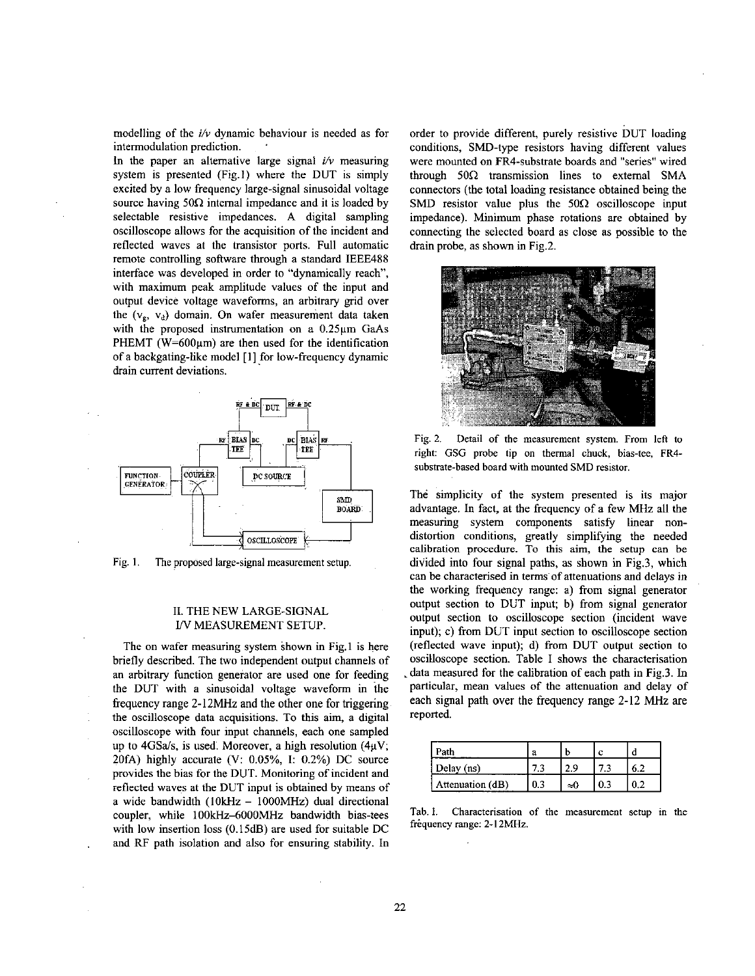modelling of the *i/v* dynamic behaviour is needed as for intermodulation prediction.

In the paper an alternative large signal  $i/v$  measuring system is presented (Fig.1) where the DUT is simply excited by a low frequency large-signal sinusoidal voltage source having  $50\Omega$  internal impedance and it is loaded by selectable resistive impedances. A digital sampling oscilloscope allows for the acquisition of the incident and reflected waves at the transistor ports. Full automatic remote controlling software through a standard IEEE488 interface was developed in order to "dynamically reach", with maximum peak amplitude values of the input and output device voltage waveforms, an arbitrary grid over the  $(v_g, v_d)$  domain. On wafer measurement data taken with the proposed instrumentation on a  $0.25\mu m$  GaAs PHEMT ( $W=600\mu m$ ) are then used for the identification of a hackgating-like model [I] for low-frequency dynamic drain current deviations.



Fig. **I.** The proposed large-signal measurement **setup.** 

## 11. THE NEW LARGE-SIGNAL *W* MEASUREMENT SETUP.

The on wafer measuring system shown in Fig.1 **is** here briefly described. The two independent output channels of an arbitrary function generator are **used** one for feeding the DUT with a sinusoidal voltage waveform in the frequency range **2-12MHz** and the other one for triggering the oscilloscope data acquisitions. To this aim, a digital oscilloscope with four input channels, each one sampled up to 4GSa/s, is used. Moreover, a high resolution  $(4\mu V)$ ; 2OfA) highly accurate **(V:** *0.05%,* **1:** 0.2%) DC source provides the bias for the DUT. Monitoring of incident and reflected waves at the DUT input is obtained by means of a wide bandwidth **(IOkHz** - IOOOMHz) dual directional coupler, while 100kHz-6000MHz bandwidth bias-tees with low insertion loss  $(0.15dB)$  are used for suitable DC . and RF path isolation and also for ensuring stability. In

order to provide different, purely resistive DUT loading conditions, SMD-type resistors having different values were mounted on FR4-substrate boards and "series" wired through 500 transmission lines to extemal **SMA**  connectors (the total loading resistance obtained being the SMD resistor value plus the  $50\Omega$  oscilloscope input impedance). Minimum phase rotations are obtained by connecting the selected board as close as possible to the drain probe, as shown in Fig.2.



Fig. 2. **Detail** of the measurement system. From **left** to right: GSG probe tip on thermal chuck, hias-tee, FR4 substrate-based board with mounted SMD resistor.

**The** simplicity of the system presented is its major advantage. In fact, at the frequency of a few **MHz** all the measuring system components satisfy linear nondistortion conditions, greatly simplifying the needed calibration procedure. To this aim, the setup can be divided into four signal paths, as shown in Fig.3, which can be characterised in terms'of attenuations and delays in the working frequency range: a) from signal generator output section to DUT input; b) from signal generator output section to oscilloscope section (incident wave input); c) from DUT input section to oscilloscope section (reflected wave input); d) from DUT output section to oscilloscope section. Table I shows the characterisation .data measured for the calibration of each path in Fig.3. In particular, mean values of the attenuation and delay of each signal path **over** the frequency range **2-12 MHz** are reported.

| Path             | a   |    |  |
|------------------|-----|----|--|
| Delay (ns)       |     |    |  |
| Attenuation (dB) | 0.3 | -0 |  |

Tab. I. Characterisation of the measurement setup in the frequency range: 2-12MHz.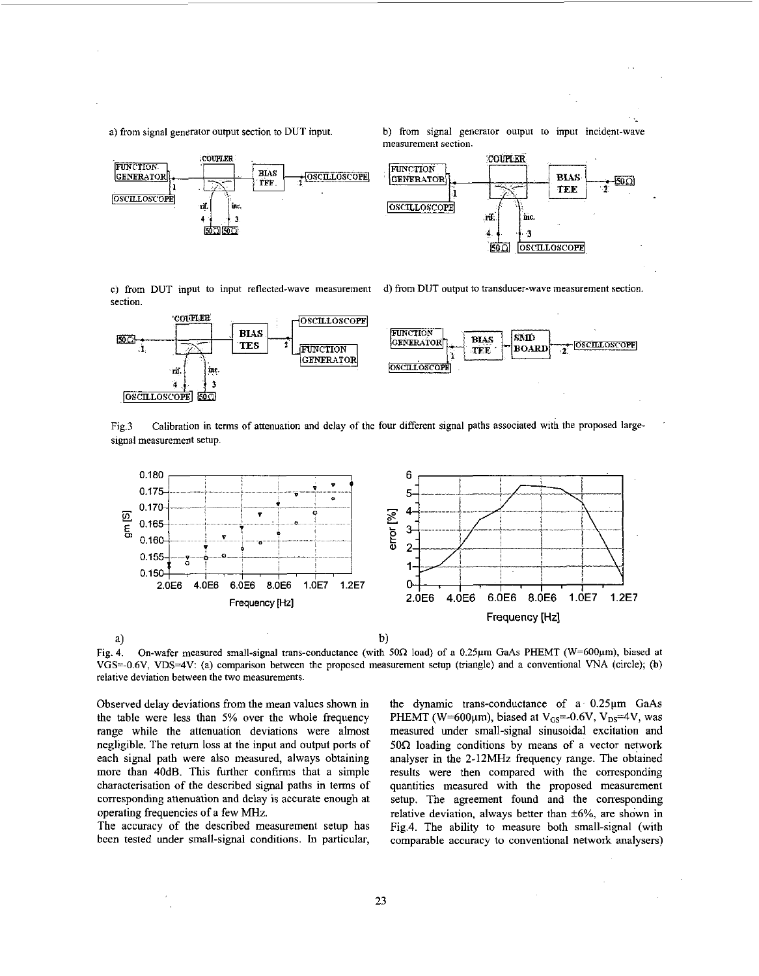a) from signal generator output section to DUT input. b) from signal generator output to input incident-wave measurement section.



c) from DUT input to input reflected-wave measurement section.

d) from DUT output to transducer-wave measurement section



Fig.3 signal measurement setup. Calibration in terms of attenuation and delay of the four different signal paths associated with the proposed large-



Fig. **4.** On-wafer measured small-signal trans-conductance (with **50n** load) of a 0.25pm GaAs PHEMT (W=hOOpm), biased at VGS=-0.6V, VDS4V: (a) comparison between the proposed measurement setup (triangle) and a conventional **VNA** (circle); **(b)**  relative deviation between the two measurements.

Observed delay deviations from the mean values shown in the table were less than *5%* over the whole frequency range while the attenuation deviations were almost negligible. The retum loss at the input and output ports of each signal path were also measured, always obtaining more than 40dB. **This** further confirms that a simple characterisation of the described signal paths in terms of corresponding attenuation and delay **is** accurate enough at operating frequencies of a few **MHz.** 

The accuracy of the described measurement setup has been tested under small-signal conditions. In particular,

the dynamic trans-conductance of a **0.25pm** GaAs PHEMT (W=600 $\mu$ m), biased at V<sub>GS</sub>=-0.6V, V<sub>DS</sub>=4V, was measured under small-signal sinusoidal excitation and  $50\Omega$  loading conditions by means of a vector network analyser in the 2-12MHz frequency range. The obtained results were then compared with the corresponding quantities measured with the proposed measurement setup. The agreement found and the corresponding relative deviation, always better than *\*6%,* are shown in Fig.4. The ability to measure both small-signal (with comparable accuracy to conventional network analysers)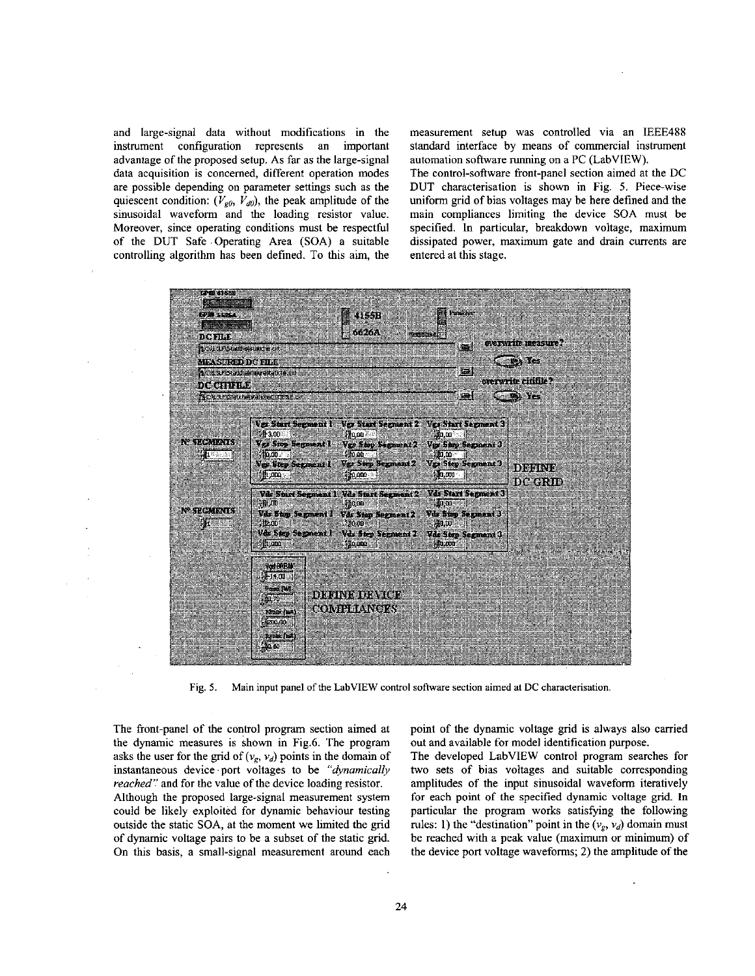and large-signal data without modifications in the instrument configuration represents an important advantage of the proposed setup. As far as the large-signal data acquisition is concerned, different operation modes are possible depending on parameter settings such as the quiescent condition:  $(V_{\varphi 0}, V_{d0})$ , the peak amplitude of the sinusoidal waveform and the loading resistor value. Moreover, since operating conditions must be respectful of the DUT Safe .Operating Area (SOA) a suitable controlling algorithm has been defined. To this aim, the measurement setup was controlled via an IEEE488 standard interface by means of commercial instrument automation software running on a PC (LabVIEW).

The control-software front-panel section aimed at the DC DUT characterisation is shown in Fig. *5.* Piece-wise uniform grid of bias voltages may be here defined and the main compliances limiting the device SOA must be specified. In particular, breakdown voltage, maximum dissipated power, maximum gate and drain currents are entered at this stage.



Fig. *5.* Main input panel of the LabVIEW control software section aimed at **DC** characterisation.

The front-panel of the control program section aimed at the dynamic measures is shown in Fig.6. The program asks the user for the grid of  $(v_g, v_d)$  points in the domain of instantaneous device port voltages to be *"ajmamically reached"* and for the value of the device loading resistor. Although the proposed large-signal measurement system could be likely exploited for dynamic behaviour testing outside the static SOA, at the moment we limited the grid of dynamic voltage pairs to be a subset of the static grid. On this basis, a small-signal measurement around each

point of the dynamic voltage grid is always also carried out and available for model identification purpose.

The developed LabVIEW control program searches for two sets of bias voltages and suitable corresponding amplitudes of the input sinusoidal waveform iteratively for each point of the specified dynamic voltage grid. In particular the program works satisfying the following rules: 1) the "destination" point in the  $(v_g, v_d)$  domain must be reached with a peak value (maximum or minimum) of the device port voltage waveforms; **2)** the amplitude of the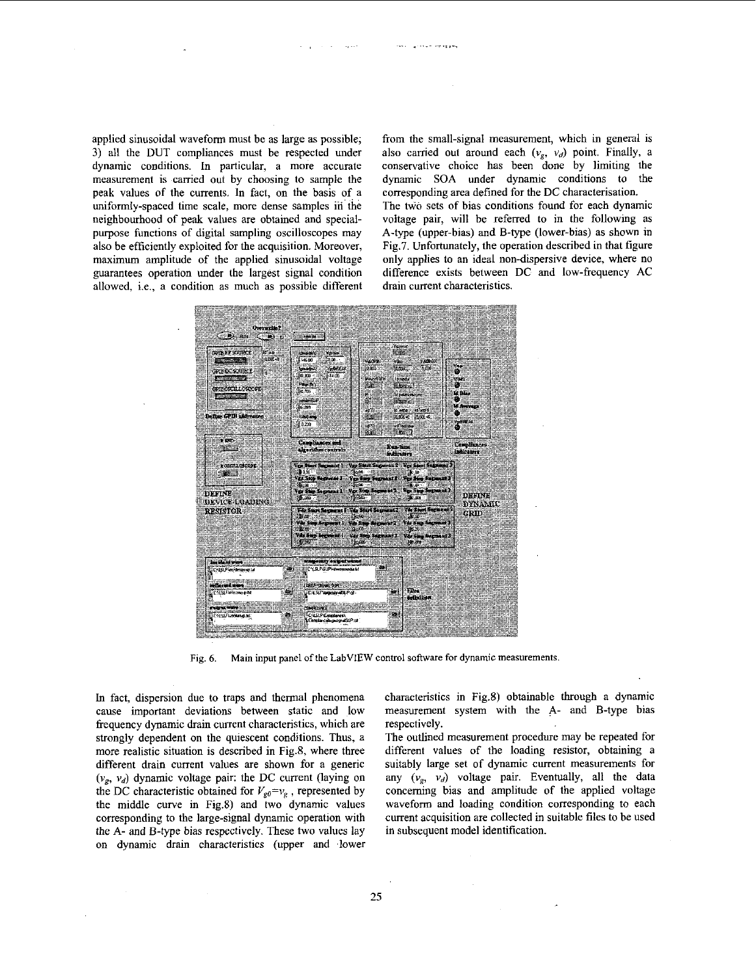applied sinusoidal waveform must be as large as possible; **3)** all the DUT compliances must be respected under dynamic conditions. In particular, a more accurate measurement is carried out by choosing to sample the peak values of the currents. In fact, on the basis of a uniformly-spaced time scale, more dense samples in' the neighbourhood of peak values are obtained and specialpurpose functions of digital sampling oscilloscopes may also be efficiently exploited for the acquisition. Moreover, maximum amplitude of the applied sinusoidal voltage guarantees operation under the largest signal condition allowed, i.e., a condition as much as possible different

from the small-signal measurement, which in general is also carried out around each  $(v_g, v_d)$  point. Finally, a conservative choice has been done by limiting the dynamic SOA under dynamic conditions to the corresponding area defined for the DC characterisation. The two sets of bias conditions found for each dynamic voltage pair, will be referred to in the following as A-type (upper-bias) and B-type (lower-hias) as shown in Fig.7. Unfortunately, the operation described in that figure only applies to an ideal non-dispersive device, where no difference exists between DC and low-frequency AC drain current characteristics.



**Fig.** *6.* **Main input panel** of **the LabVIEW control** *software* **for dynamic measurements.** 

In fact, dispersion due to traps and thermal phenomena cause important deviations between static and low frequency dynamic drain current characteristics, which are strongly dependent on the quiescent conditions. Thus, a more realistic situation is described in Fig.8, where three different drain current values are shown for a generic  $(v_g, v_d)$  dynamic voltage pair: the DC current (laying on the DC characteristic obtained for  $V_{g0}=v_g$ , represented by the middle curve in Fig.8) and two dynamic values corresponding to the large-signal dynamic operation with the A- and B-type bias respectively. These two values lay on dynamic drain characteristics (upper and lower characteristics in Fig.8) obtainable through a dynamic measurement system with the **A-** and B-type bias respectively.

The outlined measurement procedure may be repeated for different values of the loading resistor, obtaining a suitably large set of dynamic current measurements for any  $(v_g, v_d)$  voltage pair. Eventually, all the data conceming bias and amplitude of the applied voltage waveform and loading condition corresponding to each current acquisition are collected in suitable files to be used in subsequent model identification.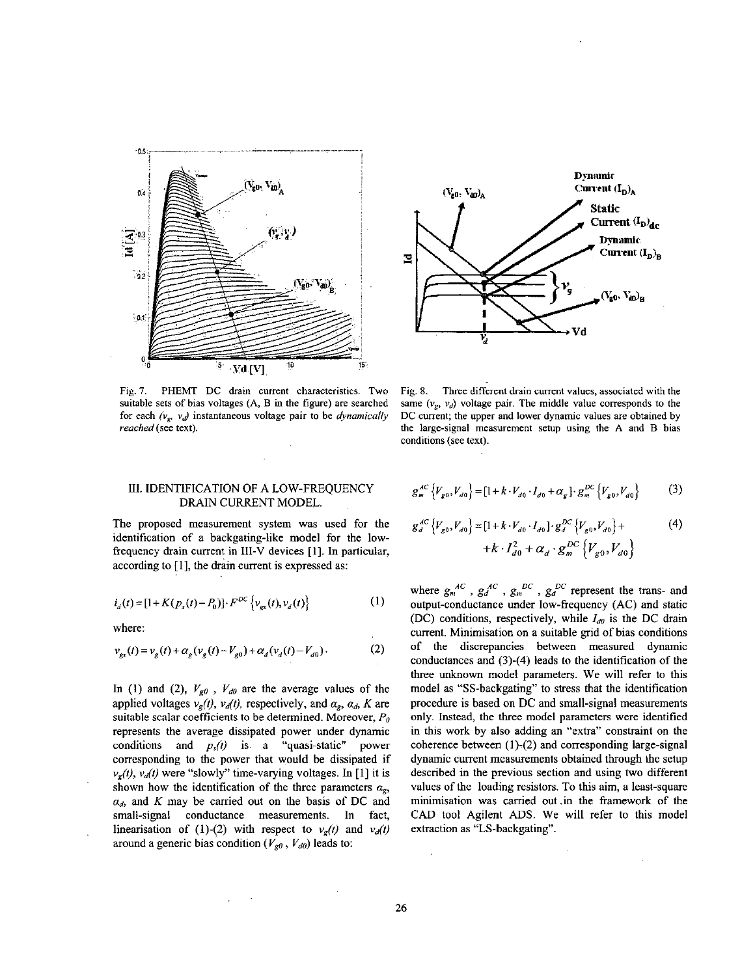



Fig.7. PHEMT DC drain current characteristics. Two suitable sets of bias voltages (A, B in the figure) are searched for each  $(v_g, v_d)$  instantaneous voltage pair to be *dynamically* reached (see text).

Fig. **8.** Three different drain current values, associated with the same  $(v_e, v_d)$  voltage pair. The middle value corresponds to the DC current; the upper and lower dynamic values are obtained by the large-signal measurement setup using the A and B bias conditions (see text).

## III. IDENTIFICATION OF A LOW-FREQUENCY DRAIN CURRENT MODEL.

The proposed measurement system was used for the identification of a backgating-like model for the lowfrequency drain current in **111-V** devices [ 11. In particular, according to [I], the drain current is expressed as:

$$
i_d(t) = [1 + K(p_s(t) - P_0)] \cdot F^{DC} \left\{ v_{gx}(t), v_d(t) \right\} \tag{1}
$$

where:

$$
v_{gx}(t) = v_g(t) + \alpha_g(v_g(t) - V_{g0}) + \alpha_d(v_d(t) - V_{d0}).
$$
 (2)

In (1) and (2),  $V_{g0}$ ,  $V_{d0}$  are the average values of the applied voltages  $v_g(t)$ ,  $v_d(t)$ , respectively, and  $a_g$ ,  $a_d$ , *K* are suitable scalar coefficients to be determined. Moreover, *Po*  represents the average dissipated power under dynamic conditions and *ps(i)* is a "quasi-static'' power corresponding to the power that would he dissipated if  $v_g(t)$ ,  $v_d(t)$  were "slowly" time-varying voltages. In [1] it is shown how the identification of the three parameters  $a_{\sigma}$ ,  $\alpha_d$ , and *K* may be carried out on the basis of DC and small-signal conductance measurements. In fact, linearisation of (1)-(2) with respect to  $v<sub>g</sub>(t)$  and  $v<sub>d</sub>(t)$ around a generic bias condition  $(V_{g0}, V_{d0})$  leads to:

$$
g_{m}^{AC}\left\{V_{g0}, V_{d0}\right\} = \left[1 + k \cdot V_{d0} \cdot I_{d0} + \alpha_{g}\right] \cdot g_{m}^{DC}\left\{V_{g0}, V_{d0}\right\} \tag{3}
$$

$$
g_d^{AC} \{V_{g0}, V_{d0}\} = [1 + k \cdot V_{d0} \cdot I_{d0}] \cdot g_d^{DC} \{V_{g0}, V_{d0}\} +
$$
  
+ 
$$
k \cdot I_{d0}^2 + \alpha_d \cdot g_m^{DC} \{V_{g0}, V_{d0}\}
$$
 (4)

where  $g_m^{AC}$ ,  $g_d^{AC}$ ,  $g_m^{DC}$ ,  $g_d^{DC}$  represent the trans- and output-conductance under low-frequency (AC) and static (DC) conditions, respectively, while  $I_{d0}$  is the DC drain current. Minimisation on a suitable grid of bias conditions of the discrepancies between measured dynamic conductances and (3)-(4) leads to the identification of the three unknown model parameters. We will refer to this model as "SS-backgating" to stress that the identification procedure is based on DC and small-signal measurements only. Instead, the three model parameters were identified in this work by also adding an "extra" constraint on the coherence between (1)-(2) and corresponding large-signal dynamic current measurements obtained through the setup described in the previous section and using two different values of the loading resistors. To this aim, a least-square minimisation was carried out .in the framework of the CAD tool Agilent ADS. We will refer to this model extraction as "LS-backgating".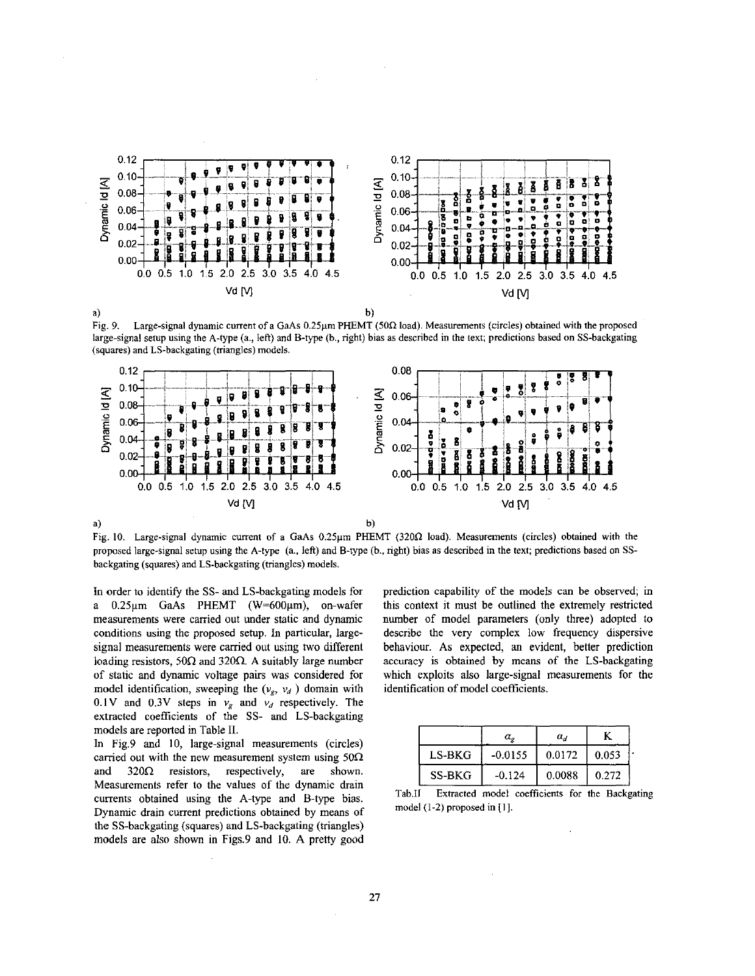

 $<sub>b</sub>$ </sub>

**Fig.** 9. **L3rpsignal dvnsniic** cumsnt ufa **GdAs 0** *2S.m* **I'HthlT (5tIR** lad, **Meirurmrnl,** (circlci) **ohlamed** wilh the proposed large-signal setup using the A-type (a., left) and B-type (b., right) bias as described in the text; predictions based on SS-backgating (squares) and LS-backgating (triangles) models.



Fig. IO. Large-signal dynamic current of a GaAs 0.25pm PHEMT **(320R** load). Measurements (circles) obtained with the proposed large-signal setup using the A-type (a., left) and B-type (h., right) bias as described in the text; predictions based on **SS**backgating (squares) and LS-backgating (triangles) models.

In order to identify the SS- and LS-backgating models for a 0.25µm GaAs PHEMT (W=600µm), on-wafer measurements were carried out under static and dynamic conditions using the proposed setup. In particular, largesignal measurements were carried out using two different loading resistors,  $50\Omega$  and  $320\Omega$ . A suitably large number of static and dynamic voltage pairs was considered for model identification, sweeping the  $(v_g, v_d)$  domain with 0.1V and 0.3V steps in  $v_g$  and  $v_d$  respectively. The extracted coefficients of the SS- and LS-backgating models are reported in Table **11.** 

In Fig.9 and **10,** large-signal measurements (circles) carried out with the new measurement system using  $50\Omega$ and  $320\Omega$  resistors, respectively, are shown. Measurements refer to the values of the dynamic drain currents obtained using the A-type and B-type bias. Dynamic drain current predictions obtained by means of the SS-backgating (squares) and LS-hackgating (triangles) models are also shown in Figs.9 and **10.** A pretty good

prediction capability of the models can he observed; in this context it must be outlined the extremely restricted number of model parameters (only three) adopted to describe the very complex low frequency dispersive behaviour. As expected, an evident, better prediction accuracy is obtained by means of the LS-backgating which exploits also large-signal measurements for the identification of model coefficients.

|          | $\alpha_{\circ}$ | $\alpha_d$ |       |  |
|----------|------------------|------------|-------|--|
| $LS-BKG$ | $-0.0155$        | 0.0172     | 0.053 |  |
| SS-BKG   | $-0.124$         | 0.0088     | 0.272 |  |

Tab.II Extracted model coefficients for the Backgating model (1-2) proposed in [I].